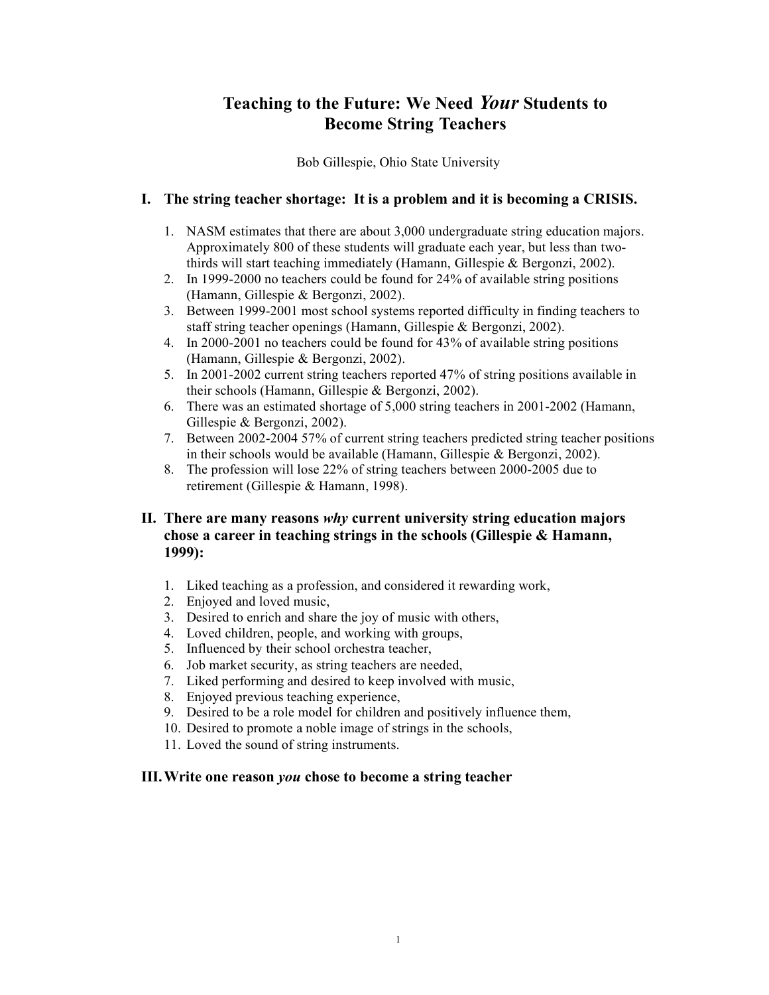# **Teaching to the Future: We Need** *Your* **Students to Become String Teachers**

Bob Gillespie, Ohio State University

### **I. The string teacher shortage: It is a problem and it is becoming a CRISIS.**

- 1. NASM estimates that there are about 3,000 undergraduate string education majors. Approximately 800 of these students will graduate each year, but less than twothirds will start teaching immediately (Hamann, Gillespie & Bergonzi, 2002).
- 2. In 1999-2000 no teachers could be found for 24% of available string positions (Hamann, Gillespie & Bergonzi, 2002).
- 3. Between 1999-2001 most school systems reported difficulty in finding teachers to staff string teacher openings (Hamann, Gillespie & Bergonzi, 2002).
- 4. In 2000-2001 no teachers could be found for 43% of available string positions (Hamann, Gillespie & Bergonzi, 2002).
- 5. In 2001-2002 current string teachers reported 47% of string positions available in their schools (Hamann, Gillespie & Bergonzi, 2002).
- 6. There was an estimated shortage of 5,000 string teachers in 2001-2002 (Hamann, Gillespie & Bergonzi, 2002).
- 7. Between 2002-2004 57% of current string teachers predicted string teacher positions in their schools would be available (Hamann, Gillespie & Bergonzi, 2002).
- 8. The profession will lose 22% of string teachers between 2000-2005 due to retirement (Gillespie & Hamann, 1998).

# **II. There are many reasons** *why* **current university string education majors chose a career in teaching strings in the schools (Gillespie & Hamann, 1999):**

- 1. Liked teaching as a profession, and considered it rewarding work,
- 2. Enjoyed and loved music,
- 3. Desired to enrich and share the joy of music with others,
- 4. Loved children, people, and working with groups,
- 5. Influenced by their school orchestra teacher,
- 6. Job market security, as string teachers are needed,
- 7. Liked performing and desired to keep involved with music,
- 8. Enjoyed previous teaching experience,
- 9. Desired to be a role model for children and positively influence them,
- 10. Desired to promote a noble image of strings in the schools,
- 11. Loved the sound of string instruments.

#### **III.Write one reason** *you* **chose to become a string teacher**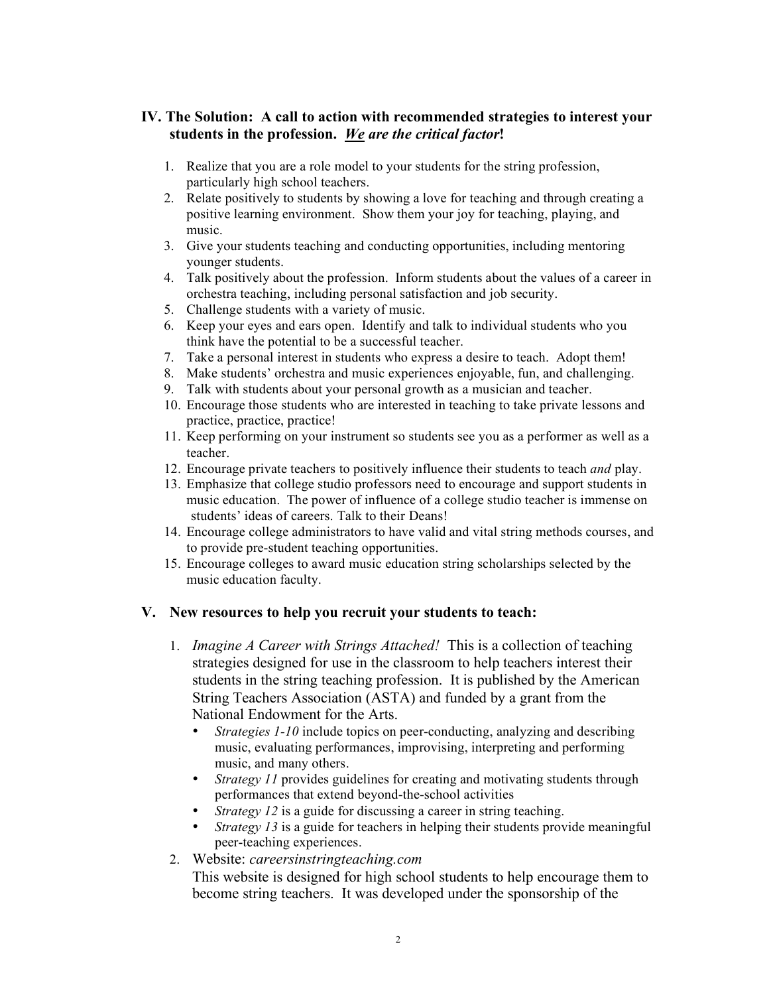# **IV. The Solution: A call to action with recommended strategies to interest your students in the profession.** *We are the critical factor***!**

- 1. Realize that you are a role model to your students for the string profession, particularly high school teachers.
- 2. Relate positively to students by showing a love for teaching and through creating a positive learning environment. Show them your joy for teaching, playing, and music.
- 3. Give your students teaching and conducting opportunities, including mentoring younger students.
- 4. Talk positively about the profession. Inform students about the values of a career in orchestra teaching, including personal satisfaction and job security.
- 5. Challenge students with a variety of music.
- 6. Keep your eyes and ears open. Identify and talk to individual students who you think have the potential to be a successful teacher.
- 7. Take a personal interest in students who express a desire to teach. Adopt them!
- 8. Make students' orchestra and music experiences enjoyable, fun, and challenging.
- 9. Talk with students about your personal growth as a musician and teacher.
- 10. Encourage those students who are interested in teaching to take private lessons and practice, practice, practice!
- 11. Keep performing on your instrument so students see you as a performer as well as a teacher.
- 12. Encourage private teachers to positively influence their students to teach *and* play.
- 13. Emphasize that college studio professors need to encourage and support students in music education. The power of influence of a college studio teacher is immense on students' ideas of careers. Talk to their Deans!
- 14. Encourage college administrators to have valid and vital string methods courses, and to provide pre-student teaching opportunities.
- 15. Encourage colleges to award music education string scholarships selected by the music education faculty.

## **V. New resources to help you recruit your students to teach:**

- 1. *Imagine A Career with Strings Attached!* This is a collection of teaching strategies designed for use in the classroom to help teachers interest their students in the string teaching profession. It is published by the American String Teachers Association (ASTA) and funded by a grant from the National Endowment for the Arts.
	- *Strategies 1-10* include topics on peer-conducting, analyzing and describing music, evaluating performances, improvising, interpreting and performing music, and many others.
	- *Strategy 11* provides guidelines for creating and motivating students through performances that extend beyond-the-school activities
	- *Strategy 12* is a guide for discussing a career in string teaching.
	- *Strategy 13* is a guide for teachers in helping their students provide meaningful peer-teaching experiences.
- 2. Website: *careersinstringteaching.com*

This website is designed for high school students to help encourage them to become string teachers. It was developed under the sponsorship of the